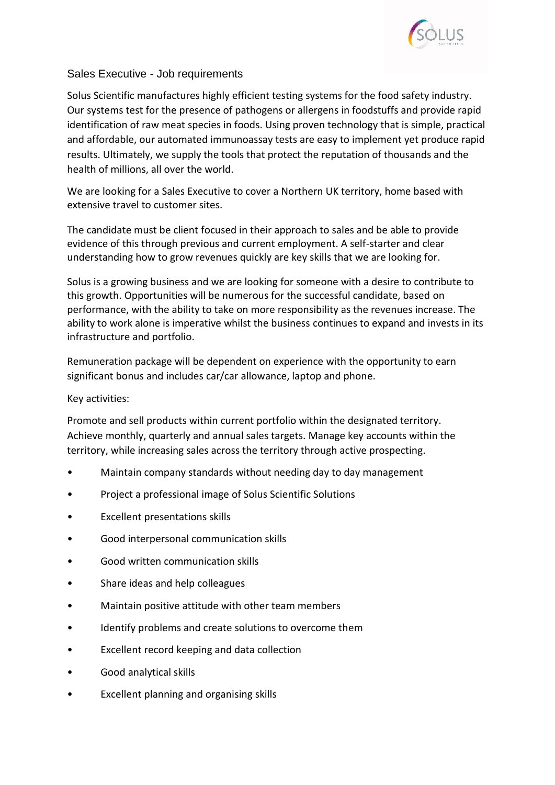

## Sales Executive - Job requirements

Solus Scientific manufactures highly efficient testing systems for the food safety industry. Our systems test for the presence of pathogens or allergens in foodstuffs and provide rapid identification of raw meat species in foods. Using proven technology that is simple, practical and affordable, our automated immunoassay tests are easy to implement yet produce rapid results. Ultimately, we supply the tools that protect the reputation of thousands and the health of millions, all over the world.

We are looking for a Sales Executive to cover a Northern UK territory, home based with extensive travel to customer sites.

The candidate must be client focused in their approach to sales and be able to provide evidence of this through previous and current employment. A self-starter and clear understanding how to grow revenues quickly are key skills that we are looking for.

Solus is a growing business and we are looking for someone with a desire to contribute to this growth. Opportunities will be numerous for the successful candidate, based on performance, with the ability to take on more responsibility as the revenues increase. The ability to work alone is imperative whilst the business continues to expand and invests in its infrastructure and portfolio.

Remuneration package will be dependent on experience with the opportunity to earn significant bonus and includes car/car allowance, laptop and phone.

## Key activities:

Promote and sell products within current portfolio within the designated territory. Achieve monthly, quarterly and annual sales targets. Manage key accounts within the territory, while increasing sales across the territory through active prospecting.

- Maintain company standards without needing day to day management
- Project a professional image of Solus Scientific Solutions
- Excellent presentations skills
- Good interpersonal communication skills
- Good written communication skills
- Share ideas and help colleagues
- Maintain positive attitude with other team members
- Identify problems and create solutions to overcome them
- Excellent record keeping and data collection
- Good analytical skills
- Excellent planning and organising skills